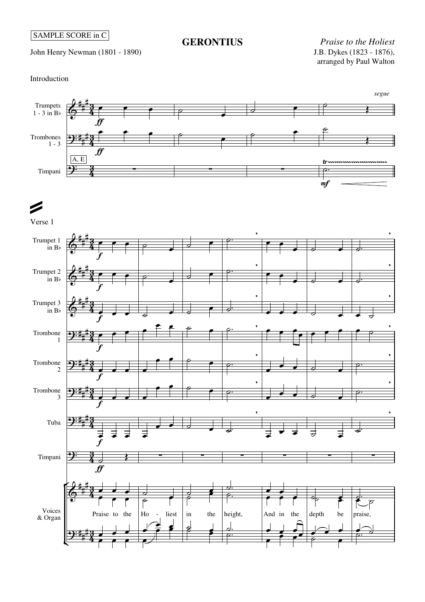John Henry Newman (1801 - 1890)

## **GERONTIUS**

*Praise to the Holiest* arranged by Paul Walton

Introduction



## $\blacktriangleright$

Verse 1

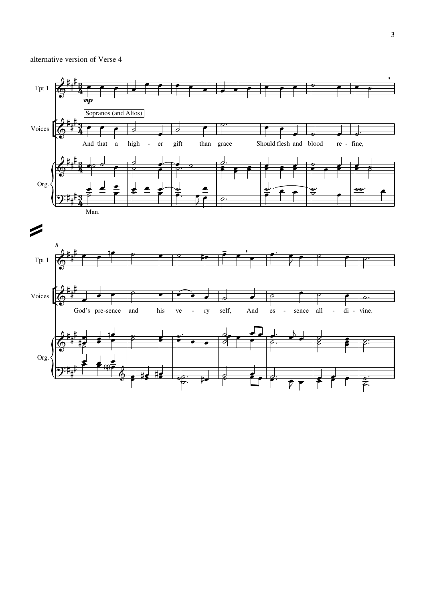## alternative version of Verse 4